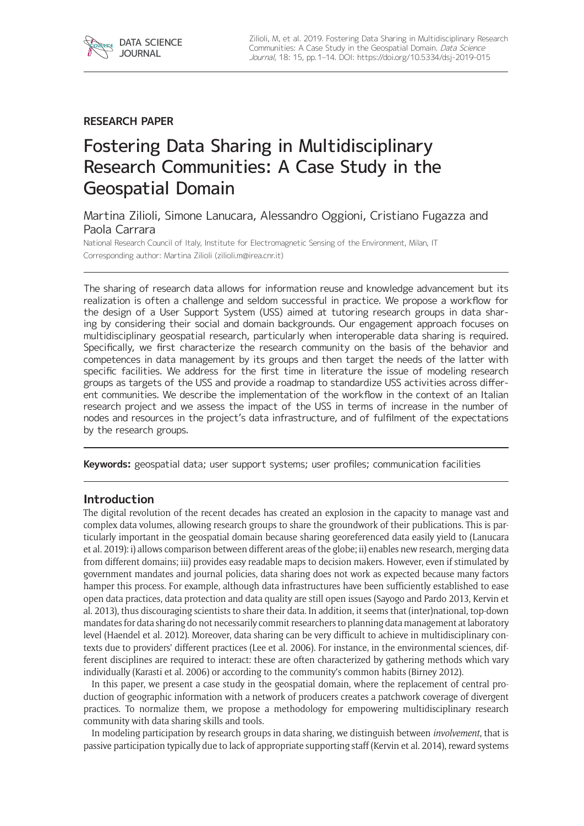# **RESEARCH PAPER**

# Fostering Data Sharing in Multidisciplinary Research Communities: A Case Study in the Geospatial Domain

Martina Zilioli, Simone Lanucara, Alessandro Oggioni, Cristiano Fugazza and Paola Carrara

National Research Council of Italy, Institute for Electromagnetic Sensing of the Environment, Milan, IT Corresponding author: Martina Zilioli [\(zilioli.m@irea.cnr.it](mailto:zilioli.m@irea.cnr.it))

The sharing of research data allows for information reuse and knowledge advancement but its realization is often a challenge and seldom successful in practice. We propose a workflow for the design of a User Support System (USS) aimed at tutoring research groups in data sharing by considering their social and domain backgrounds. Our engagement approach focuses on multidisciplinary geospatial research, particularly when interoperable data sharing is required. Specifically, we first characterize the research community on the basis of the behavior and competences in data management by its groups and then target the needs of the latter with specific facilities. We address for the first time in literature the issue of modeling research groups as targets of the USS and provide a roadmap to standardize USS activities across different communities. We describe the implementation of the workflow in the context of an Italian research project and we assess the impact of the USS in terms of increase in the number of nodes and resources in the project's data infrastructure, and of fulfilment of the expectations by the research groups.

**Keywords:** geospatial data; user support systems; user profiles; communication facilities

## **Introduction**

The digital revolution of the recent decades has created an explosion in the capacity to manage vast and complex data volumes, allowing research groups to share the groundwork of their publications. This is particularly important in the geospatial domain because sharing georeferenced data easily yield to (Lanucara et al. 2019): i) allows comparison between different areas of the globe; ii) enables new research, merging data from different domains; iii) provides easy readable maps to decision makers. However, even if stimulated by government mandates and journal policies, data sharing does not work as expected because many factors hamper this process. For example, although data infrastructures have been sufficiently established to ease open data practices, data protection and data quality are still open issues (Sayogo and Pardo 2013, Kervin et al. 2013), thus discouraging scientists to share their data. In addition, it seems that (inter)national, top-down mandates for data sharing do not necessarily commit researchers to planning data management at laboratory level (Haendel et al. 2012). Moreover, data sharing can be very difficult to achieve in multidisciplinary contexts due to providers' different practices (Lee et al. 2006). For instance, in the environmental sciences, different disciplines are required to interact: these are often characterized by gathering methods which vary individually (Karasti et al. 2006) or according to the community's common habits (Birney 2012).

In this paper, we present a case study in the geospatial domain, where the replacement of central production of geographic information with a network of producers creates a patchwork coverage of divergent practices. To normalize them, we propose a methodology for empowering multidisciplinary research community with data sharing skills and tools.

In modeling participation by research groups in data sharing, we distinguish between *involvement*, that is passive participation typically due to lack of appropriate supporting staff (Kervin et al. 2014), reward systems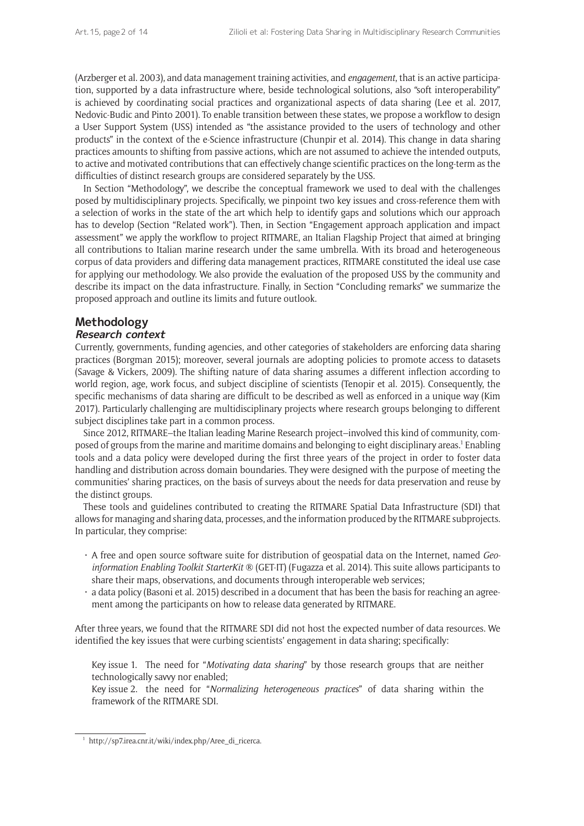(Arzberger et al. 2003), and data management training activities, and *engagement*, that is an active participation, supported by a data infrastructure where, beside technological solutions, also "soft interoperability" is achieved by coordinating social practices and organizational aspects of data sharing (Lee et al. 2017, Nedovic-Budic and Pinto 2001). To enable transition between these states, we propose a workflow to design a User Support System (USS) intended as "the assistance provided to the users of technology and other products" in the context of the e-Science infrastructure (Chunpir et al. 2014). This change in data sharing practices amounts to shifting from passive actions, which are not assumed to achieve the intended outputs, to active and motivated contributions that can effectively change scientific practices on the long-term as the difficulties of distinct research groups are considered separately by the USS.

In Section "Methodology", we describe the conceptual framework we used to deal with the challenges posed by multidisciplinary projects. Specifically, we pinpoint two key issues and cross-reference them with a selection of works in the state of the art which help to identify gaps and solutions which our approach has to develop (Section "Related work"). Then, in Section "Engagement approach application and impact assessment" we apply the workflow to project RITMARE, an Italian Flagship Project that aimed at bringing all contributions to Italian marine research under the same umbrella. With its broad and heterogeneous corpus of data providers and differing data management practices, RITMARE constituted the ideal use case for applying our methodology. We also provide the evaluation of the proposed USS by the community and describe its impact on the data infrastructure. Finally, in Section "Concluding remarks" we summarize the proposed approach and outline its limits and future outlook.

## **Methodology**

## **Research context**

Currently, governments, funding agencies, and other categories of stakeholders are enforcing data sharing practices (Borgman 2015); moreover, several journals are adopting policies to promote access to datasets (Savage & Vickers, 2009). The shifting nature of data sharing assumes a different inflection according to world region, age, work focus, and subject discipline of scientists (Tenopir et al. 2015). Consequently, the specific mechanisms of data sharing are difficult to be described as well as enforced in a unique way (Kim 2017). Particularly challenging are multidisciplinary projects where research groups belonging to different subject disciplines take part in a common process.

Since 2012, RITMARE–the Italian leading Marine Research project–involved this kind of community, composed of groups from the marine and maritime domains and belonging to eight disciplinary areas.<sup>1</sup> Enabling tools and a data policy were developed during the first three years of the project in order to foster data handling and distribution across domain boundaries. They were designed with the purpose of meeting the communities' sharing practices, on the basis of surveys about the needs for data preservation and reuse by the distinct groups.

These tools and guidelines contributed to creating the RITMARE Spatial Data Infrastructure (SDI) that allows for managing and sharing data, processes, and the information produced by the RITMARE subprojects. In particular, they comprise:

- • A free and open source software suite for distribution of geospatial data on the Internet, named *Geoinformation Enabling Toolkit StarterKit* ® (GET-IT) (Fugazza et al. 2014). This suite allows participants to share their maps, observations, and documents through interoperable web services;
- $\cdot$  a data policy (Basoni et al. 2015) described in a document that has been the basis for reaching an agreement among the participants on how to release data generated by RITMARE.

After three years, we found that the RITMARE SDI did not host the expected number of data resources. We identified the key issues that were curbing scientists' engagement in data sharing; specifically:

Key issue 1. The need for "*Motivating data sharing*" by those research groups that are neither technologically savvy nor enabled;

Key issue 2. the need for "*Normalizing heterogeneous practices*" of data sharing within the framework of the RITMARE SDI.

 $1$  [http://sp7.irea.cnr.it/wiki/index.php/Aree\\_di\\_ricerca.](http://sp7.irea.cnr.it/wiki/index.php/Aree_di_ricerca)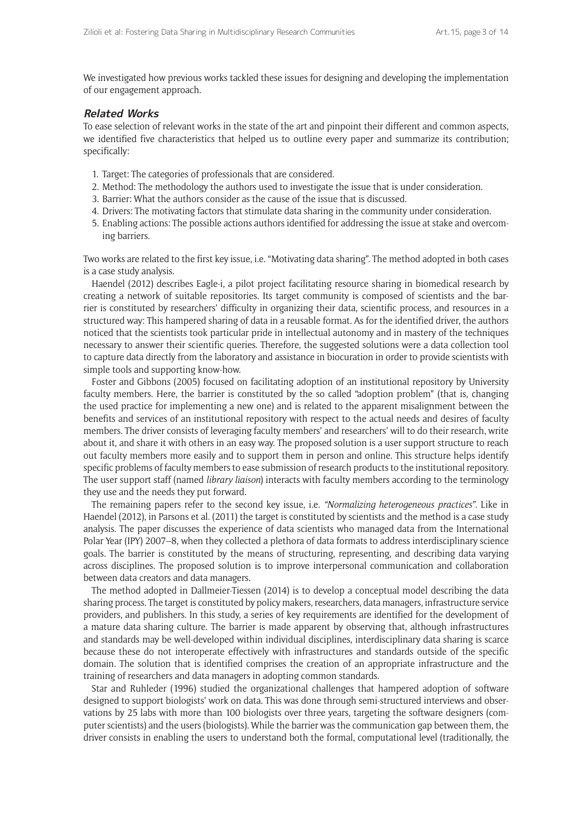We investigated how previous works tackled these issues for designing and developing the implementation of our engagement approach.

#### **Related Works**

To ease selection of relevant works in the state of the art and pinpoint their different and common aspects, we identified five characteristics that helped us to outline every paper and summarize its contribution; specifically:

- 1. Target: The categories of professionals that are considered.
- 2. Method: The methodology the authors used to investigate the issue that is under consideration.
- 3. Barrier: What the authors consider as the cause of the issue that is discussed.
- 4. Drivers: The motivating factors that stimulate data sharing in the community under consideration.
- 5. Enabling actions: The possible actions authors identified for addressing the issue at stake and overcoming barriers.

Two works are related to the first key issue, i.e. "Motivating data sharing". The method adopted in both cases is a case study analysis.

Haendel (2012) describes Eagle-i, a pilot project facilitating resource sharing in biomedical research by creating a network of suitable repositories. Its target community is composed of scientists and the barrier is constituted by researchers' difficulty in organizing their data, scientific process, and resources in a structured way: This hampered sharing of data in a reusable format. As for the identified driver, the authors noticed that the scientists took particular pride in intellectual autonomy and in mastery of the techniques necessary to answer their scientific queries. Therefore, the suggested solutions were a data collection tool to capture data directly from the laboratory and assistance in biocuration in order to provide scientists with simple tools and supporting know-how.

Foster and Gibbons (2005) focused on facilitating adoption of an institutional repository by University faculty members. Here, the barrier is constituted by the so called "adoption problem" (that is, changing the used practice for implementing a new one) and is related to the apparent misalignment between the benefits and services of an institutional repository with respect to the actual needs and desires of faculty members. The driver consists of leveraging faculty members' and researchers' will to do their research, write about it, and share it with others in an easy way. The proposed solution is a user support structure to reach out faculty members more easily and to support them in person and online. This structure helps identify specific problems of faculty members to ease submission of research products to the institutional repository. The user support staff (named *library liaison*) interacts with faculty members according to the terminology they use and the needs they put forward.

The remaining papers refer to the second key issue, i.e. *"Normalizing heterogeneous practices"*. Like in Haendel (2012), in Parsons et al. (2011) the target is constituted by scientists and the method is a case study analysis. The paper discusses the experience of data scientists who managed data from the International Polar Year (IPY) 2007–8, when they collected a plethora of data formats to address interdisciplinary science goals. The barrier is constituted by the means of structuring, representing, and describing data varying across disciplines. The proposed solution is to improve interpersonal communication and collaboration between data creators and data managers.

The method adopted in Dallmeier-Tiessen (2014) is to develop a conceptual model describing the data sharing process. The target is constituted by policy makers, researchers, data managers, infrastructure service providers, and publishers. In this study, a series of key requirements are identified for the development of a mature data sharing culture. The barrier is made apparent by observing that, although infrastructures and standards may be well-developed within individual disciplines, interdisciplinary data sharing is scarce because these do not interoperate effectively with infrastructures and standards outside of the specific domain. The solution that is identified comprises the creation of an appropriate infrastructure and the training of researchers and data managers in adopting common standards.

Star and Ruhleder (1996) studied the organizational challenges that hampered adoption of software designed to support biologists' work on data. This was done through semi-structured interviews and observations by 25 labs with more than 100 biologists over three years, targeting the software designers (computer scientists) and the users (biologists). While the barrier was the communication gap between them, the driver consists in enabling the users to understand both the formal, computational level (traditionally, the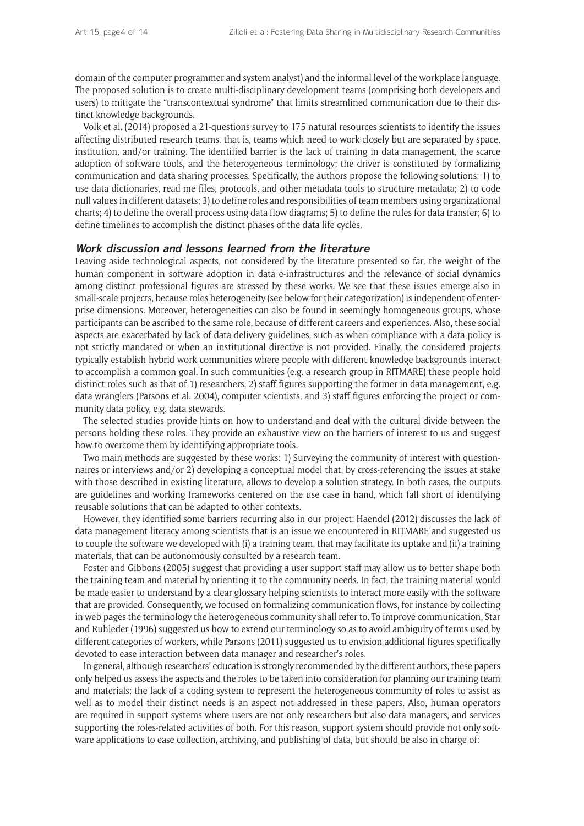domain of the computer programmer and system analyst) and the informal level of the workplace language. The proposed solution is to create multi-disciplinary development teams (comprising both developers and users) to mitigate the "transcontextual syndrome" that limits streamlined communication due to their distinct knowledge backgrounds.

Volk et al. (2014) proposed a 21-questions survey to 175 natural resources scientists to identify the issues affecting distributed research teams, that is, teams which need to work closely but are separated by space, institution, and/or training. The identified barrier is the lack of training in data management, the scarce adoption of software tools, and the heterogeneous terminology; the driver is constituted by formalizing communication and data sharing processes. Specifically, the authors propose the following solutions: 1) to use data dictionaries, read-me files, protocols, and other metadata tools to structure metadata; 2) to code null values in different datasets; 3) to define roles and responsibilities of team members using organizational charts; 4) to define the overall process using data flow diagrams; 5) to define the rules for data transfer; 6) to define timelines to accomplish the distinct phases of the data life cycles.

#### **Work discussion and lessons learned from the literature**

Leaving aside technological aspects, not considered by the literature presented so far, the weight of the human component in software adoption in data e-infrastructures and the relevance of social dynamics among distinct professional figures are stressed by these works. We see that these issues emerge also in small-scale projects, because roles heterogeneity (see below for their categorization) is independent of enterprise dimensions. Moreover, heterogeneities can also be found in seemingly homogeneous groups, whose participants can be ascribed to the same role, because of different careers and experiences. Also, these social aspects are exacerbated by lack of data delivery guidelines, such as when compliance with a data policy is not strictly mandated or when an institutional directive is not provided. Finally, the considered projects typically establish hybrid work communities where people with different knowledge backgrounds interact to accomplish a common goal. In such communities (e.g. a research group in RITMARE) these people hold distinct roles such as that of 1) researchers, 2) staff figures supporting the former in data management, e.g. data wranglers (Parsons et al. 2004), computer scientists, and 3) staff figures enforcing the project or community data policy, e.g. data stewards.

The selected studies provide hints on how to understand and deal with the cultural divide between the persons holding these roles. They provide an exhaustive view on the barriers of interest to us and suggest how to overcome them by identifying appropriate tools.

Two main methods are suggested by these works: 1) Surveying the community of interest with questionnaires or interviews and/or 2) developing a conceptual model that, by cross-referencing the issues at stake with those described in existing literature, allows to develop a solution strategy. In both cases, the outputs are guidelines and working frameworks centered on the use case in hand, which fall short of identifying reusable solutions that can be adapted to other contexts.

However, they identified some barriers recurring also in our project: Haendel (2012) discusses the lack of data management literacy among scientists that is an issue we encountered in RITMARE and suggested us to couple the software we developed with (i) a training team, that may facilitate its uptake and (ii) a training materials, that can be autonomously consulted by a research team.

Foster and Gibbons (2005) suggest that providing a user support staff may allow us to better shape both the training team and material by orienting it to the community needs. In fact, the training material would be made easier to understand by a clear glossary helping scientists to interact more easily with the software that are provided. Consequently, we focused on formalizing communication flows, for instance by collecting in web pages the terminology the heterogeneous community shall refer to. To improve communication, Star and Ruhleder (1996) suggested us how to extend our terminology so as to avoid ambiguity of terms used by different categories of workers, while Parsons (2011) suggested us to envision additional figures specifically devoted to ease interaction between data manager and researcher's roles.

In general, although researchers' education is strongly recommended by the different authors, these papers only helped us assess the aspects and the roles to be taken into consideration for planning our training team and materials; the lack of a coding system to represent the heterogeneous community of roles to assist as well as to model their distinct needs is an aspect not addressed in these papers. Also, human operators are required in support systems where users are not only researchers but also data managers, and services supporting the roles-related activities of both. For this reason, support system should provide not only software applications to ease collection, archiving, and publishing of data, but should be also in charge of: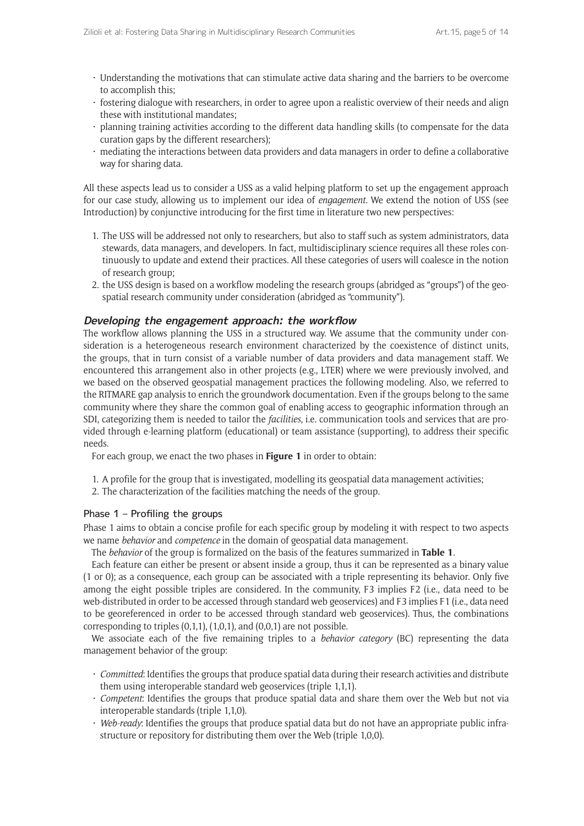- • Understanding the motivations that can stimulate active data sharing and the barriers to be overcome to accomplish this;
- • fostering dialogue with researchers, in order to agree upon a realistic overview of their needs and align these with institutional mandates;
- $\cdot$  planning training activities according to the different data handling skills (to compensate for the data curation gaps by the different researchers);
- mediating the interactions between data providers and data managers in order to define a collaborative way for sharing data.

All these aspects lead us to consider a USS as a valid helping platform to set up the engagement approach for our case study, allowing us to implement our idea of *engagement*. We extend the notion of USS (see Introduction) by conjunctive introducing for the first time in literature two new perspectives:

- 1. The USS will be addressed not only to researchers, but also to staff such as system administrators, data stewards, data managers, and developers. In fact, multidisciplinary science requires all these roles continuously to update and extend their practices. All these categories of users will coalesce in the notion of research group;
- 2. the USS design is based on a workflow modeling the research groups (abridged as "groups") of the geospatial research community under consideration (abridged as "community").

#### **Developing the engagement approach: the workflow**

The workflow allows planning the USS in a structured way. We assume that the community under consideration is a heterogeneous research environment characterized by the coexistence of distinct units, the groups, that in turn consist of a variable number of data providers and data management staff. We encountered this arrangement also in other projects (e.g., [LTER](http://www.lter-europe.net/lter-europe/data)) where we were previously involved, and we based on the observed geospatial management practices the following modeling. Also, we referred to the [RITMARE gap analysis](http://www.ritmare.it/en/results/sp7-interoperable-infrastructure-for-the-observation-network-and-marine-data/wp4-interoperable-infrastructure-realization.html) to enrich the groundwork documentation. Even if the groups belong to the same community where they share the common goal of enabling access to geographic information through an SDI, categorizing them is needed to tailor the *facilities*, i.e. communication tools and services that are provided through e-learning platform (educational) or team assistance (supporting), to address their specific needs.

For each group, we enact the two phases in **Figure 1** in order to obtain:

- 1. A profile for the group that is investigated, modelling its geospatial data management activities;
- 2. The characterization of the facilities matching the needs of the group.

#### Phase 1 – Profiling the groups

Phase 1 aims to obtain a concise profile for each specific group by modeling it with respect to two aspects we name *behavior* and *competence* in the domain of geospatial data management.

The *behavior* of the group is formalized on the basis of the features summarized in **Table 1**.

Each feature can either be present or absent inside a group, thus it can be represented as a binary value (1 or 0); as a consequence, each group can be associated with a triple representing its behavior. Only five among the eight possible triples are considered. In the community, F3 implies F2 (i.e., data need to be web-distributed in order to be accessed through standard web geoservices) and F3 implies F1 (i.e., data need to be georeferenced in order to be accessed through standard web geoservices). Thus, the combinations corresponding to triples  $(0,1,1)$ ,  $(1,0,1)$ , and  $(0,0,1)$  are not possible.

We associate each of the five remaining triples to a *behavior category* (BC) representing the data management behavior of the group:

- • *Committed*: Identifies the groups that produce spatial data during their research activities and distribute them using interoperable standard web geoservices (triple 1,1,1).
- • *Competent*: Identifies the groups that produce spatial data and share them over the Web but not via interoperable standards (triple 1,1,0).
- • *Web-ready*: Identifies the groups that produce spatial data but do not have an appropriate public infrastructure or repository for distributing them over the Web (triple 1,0,0).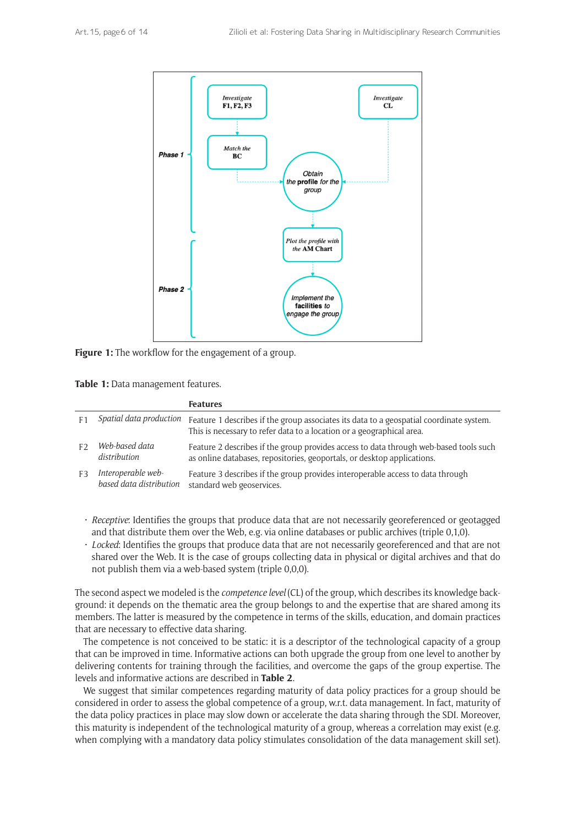

**Figure 1:** The workflow for the engagement of a group.

**Table 1:** Data management features.

|                |                                               | <b>Features</b>                                                                                                                                                  |
|----------------|-----------------------------------------------|------------------------------------------------------------------------------------------------------------------------------------------------------------------|
| F <sub>1</sub> | Spatial data production                       | Feature 1 describes if the group associates its data to a geospatial coordinate system.<br>This is necessary to refer data to a location or a geographical area. |
|                | Web-based data<br>distribution                | Feature 2 describes if the group provides access to data through web-based tools such<br>as online databases, repositories, geoportals, or desktop applications. |
| F3             | Interoperable web-<br>based data distribution | Feature 3 describes if the group provides interoperable access to data through<br>standard web geoservices.                                                      |

- • *Receptive*: Identifies the groups that produce data that are not necessarily georeferenced or geotagged and that distribute them over the Web, e.g. via online databases or public archives (triple 0,1,0).
- • *Locked*: Identifies the groups that produce data that are not necessarily georeferenced and that are not shared over the Web. It is the case of groups collecting data in physical or digital archives and that do not publish them via a web-based system (triple 0,0,0).

The second aspect we modeled is the *competence level* (CL) of the group, which describes its knowledge background: it depends on the thematic area the group belongs to and the expertise that are shared among its members. The latter is measured by the competence in terms of the skills, education, and domain practices that are necessary to effective data sharing.

The competence is not conceived to be static: it is a descriptor of the technological capacity of a group that can be improved in time. Informative actions can both upgrade the group from one level to another by delivering contents for training through the facilities, and overcome the gaps of the group expertise. The levels and informative actions are described in **Table 2**.

We suggest that similar competences regarding maturity of data policy practices for a group should be considered in order to assess the global competence of a group, w.r.t. data management. In fact, maturity of the data policy practices in place may slow down or accelerate the data sharing through the SDI. Moreover, this maturity is independent of the technological maturity of a group, whereas a correlation may exist (e.g. when complying with a mandatory data policy stimulates consolidation of the data management skill set).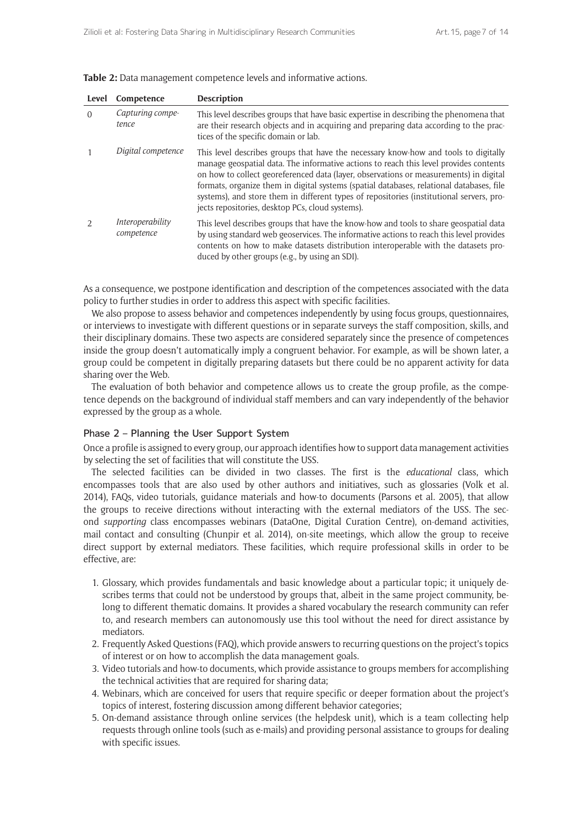| Level    | Competence                     | <b>Description</b>                                                                                                                                                                                                                                                                                                                                                                                                                                                                                                |
|----------|--------------------------------|-------------------------------------------------------------------------------------------------------------------------------------------------------------------------------------------------------------------------------------------------------------------------------------------------------------------------------------------------------------------------------------------------------------------------------------------------------------------------------------------------------------------|
| $\Omega$ | Capturing compe-<br>tence      | This level describes groups that have basic expertise in describing the phenomena that<br>are their research objects and in acquiring and preparing data according to the prac-<br>tices of the specific domain or lab.                                                                                                                                                                                                                                                                                           |
|          | Digital competence             | This level describes groups that have the necessary know-how and tools to digitally<br>manage geospatial data. The informative actions to reach this level provides contents<br>on how to collect georeferenced data (layer, observations or measurements) in digital<br>formats, organize them in digital systems (spatial databases, relational databases, file<br>systems), and store them in different types of repositories (institutional servers, pro-<br>jects repositories, desktop PCs, cloud systems). |
|          | Interoperability<br>competence | This level describes groups that have the know-how and tools to share geospatial data<br>by using standard web geoservices. The informative actions to reach this level provides<br>contents on how to make datasets distribution interoperable with the datasets pro-<br>duced by other groups (e.g., by using an SDI).                                                                                                                                                                                          |

**Table 2:** Data management competence levels and informative actions.

As a consequence, we postpone identification and description of the competences associated with the data policy to further studies in order to address this aspect with specific facilities.

We also propose to assess behavior and competences independently by using focus groups, questionnaires, or interviews to investigate with different questions or in separate surveys the staff composition, skills, and their disciplinary domains. These two aspects are considered separately since the presence of competences inside the group doesn't automatically imply a congruent behavior. For example, as will be shown later, a group could be competent in digitally preparing datasets but there could be no apparent activity for data sharing over the Web.

The evaluation of both behavior and competence allows us to create the group profile, as the competence depends on the background of individual staff members and can vary independently of the behavior expressed by the group as a whole.

#### Phase 2 – Planning the User Support System

Once a profile is assigned to every group, our approach identifies how to support data management activities by selecting the set of facilities that will constitute the USS.

The selected facilities can be divided in two classes. The first is the *educational* class, which encompasses tools that are also used by other authors and initiatives, such as glossaries (Volk et al. 2014), FAQs, video tutorials, guidance materials and how-to documents (Parsons et al. 2005), that allow the groups to receive directions without interacting with the external mediators of the USS. The second *supporting* class encompasses webinars ([DataOne](https://www.dataone.org/webinars), [Digital Curation Centre](http://www.dcc.ac.uk/training/webinars)), on-demand activities, mail contact and consulting (Chunpir et al. 2014), on-site meetings, which allow the group to receive direct support by external mediators. These facilities, which require professional skills in order to be effective, are:

- 1. Glossary, which provides fundamentals and basic knowledge about a particular topic; it uniquely describes terms that could not be understood by groups that, albeit in the same project community, belong to different thematic domains. It provides a shared vocabulary the research community can refer to, and research members can autonomously use this tool without the need for direct assistance by mediators.
- 2. Frequently Asked Questions (FAQ), which provide answers to recurring questions on the project's topics of interest or on how to accomplish the data management goals.
- 3. Video tutorials and how-to documents, which provide assistance to groups members for accomplishing the technical activities that are required for sharing data;
- 4. Webinars, which are conceived for users that require specific or deeper formation about the project's topics of interest, fostering discussion among different behavior categories;
- 5. On-demand assistance through online services (the helpdesk unit), which is a team collecting help requests through online tools (such as e-mails) and providing personal assistance to groups for dealing with specific issues.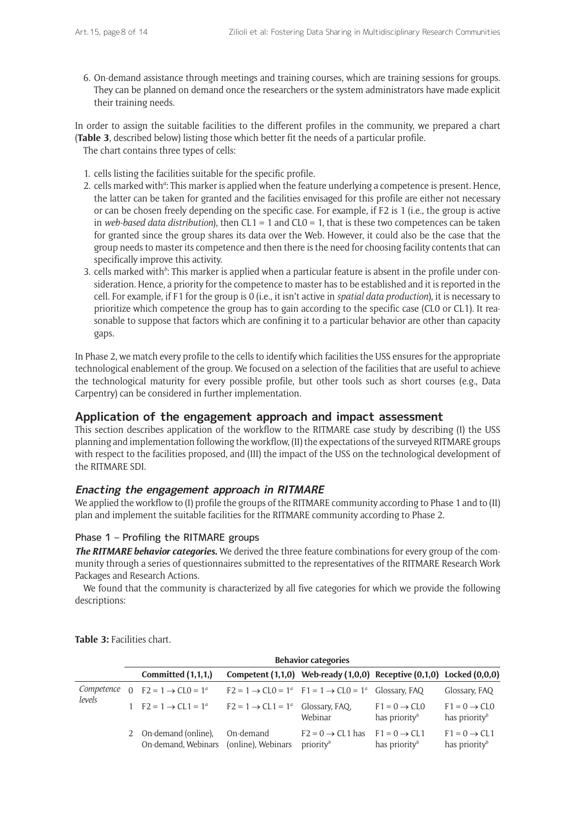6. On-demand assistance through meetings and training courses, which are training sessions for groups. They can be planned on demand once the researchers or the system administrators have made explicit their training needs.

In order to assign the suitable facilities to the different profiles in the community, we prepared a chart (**Table 3**, described below) listing those which better fit the needs of a particular profile. The chart contains three types of cells:

- 1. cells listing the facilities suitable for the specific profile.
- 2. cells marked with<sup>a</sup>: This marker is applied when the feature underlying a competence is present. Hence, the latter can be taken for granted and the facilities envisaged for this profile are either not necessary or can be chosen freely depending on the specific case. For example, if F2 is 1 (i.e., the group is active in *web-based data distribution*), then  $CL1 = 1$  and  $CL0 = 1$ , that is these two competences can be taken for granted since the group shares its data over the Web. However, it could also be the case that the group needs to master its competence and then there is the need for choosing facility contents that can specifically improve this activity.
- 3. cells marked with<sup>b</sup>: This marker is applied when a particular feature is absent in the profile under consideration. Hence, a priority for the competence to master has to be established and it is reported in the cell. For example, if F1 for the group is 0 (i.e., it isn't active in *spatial data production*), it is necessary to prioritize which competence the group has to gain according to the specific case (CL0 or CL1). It reasonable to suppose that factors which are confining it to a particular behavior are other than capacity gaps.

In Phase 2, we match every profile to the cells to identify which facilities the USS ensures for the appropriate technological enablement of the group. We focused on a selection of the facilities that are useful to achieve the technological maturity for every possible profile, but other tools such as short courses (e.g., [Data](https://datacarpentry.org/) [Carpentry](https://datacarpentry.org/)) can be considered in further implementation.

## **Application of the engagement approach and impact assessment**

This section describes application of the workflow to the RITMARE case study by describing (I) the USS planning and implementation following the workflow, (II) the expectations of the surveyed RITMARE groups with respect to the facilities proposed, and (III) the impact of the USS on the technological development of the RITMARE SDI.

## **Enacting the engagement approach in RITMARE**

We applied the workflow to (I) profile the groups of the RITMARE community according to Phase 1 and to (II) plan and implement the suitable facilities for the RITMARE community according to Phase 2.

## Phase 1 – Profiling the RITMARE groups

*The RITMARE behavior categories***.** We derived the three feature combinations for every group of the community through a series of questionnaires submitted to the [representatives of the RITMARE Research Work](http://sp7.irea.cnr.it/wp1/az1/questresults/interviste.php) [Packages and Research Actions](http://sp7.irea.cnr.it/wp1/az1/questresults/interviste.php).

We found that the community is characterized by all five categories for which we provide the following descriptions:

|            | <b>Behavior categories</b>                   |                                               |                                                                              |                                                         |                                                         |
|------------|----------------------------------------------|-----------------------------------------------|------------------------------------------------------------------------------|---------------------------------------------------------|---------------------------------------------------------|
|            | Committed $(1,1,1)$                          |                                               | Competent $(1,1,0)$ Web-ready $(1,0,0)$ Receptive $(0,1,0)$ Locked $(0,0,0)$ |                                                         |                                                         |
| Competence | 0 $F2 = 1 \rightarrow CL0 = 1^a$             |                                               | $F2 = 1 \rightarrow CL0 = 1^a$ $F1 = 1 \rightarrow CL0 = 1^a$ Glossary, FAQ  |                                                         | Glossary, FAQ                                           |
| levels     | 1 $F2 = 1 \rightarrow CL1 = 1^a$             | $F2 = 1 \rightarrow CL1 = 1^a$ Glossary, FAQ, | Webinar                                                                      | $F1 = 0 \rightarrow CL0$<br>has priority $\mathfrak{b}$ | $F1 = 0 \rightarrow CL0$<br>has priority $\mathfrak{b}$ |
|            | 2 On-demand (online),<br>On-demand, Webinars | On-demand<br>(online), Webinars               | $F2 = 0 \rightarrow CL1$ has<br>priority <sup>b</sup>                        | $F1 = 0 \rightarrow CL1$<br>has priority $\mathfrak{b}$ | $F1 = 0 \rightarrow CL1$<br>has priority $\mathfrak b$  |

**Table 3:** Facilities chart.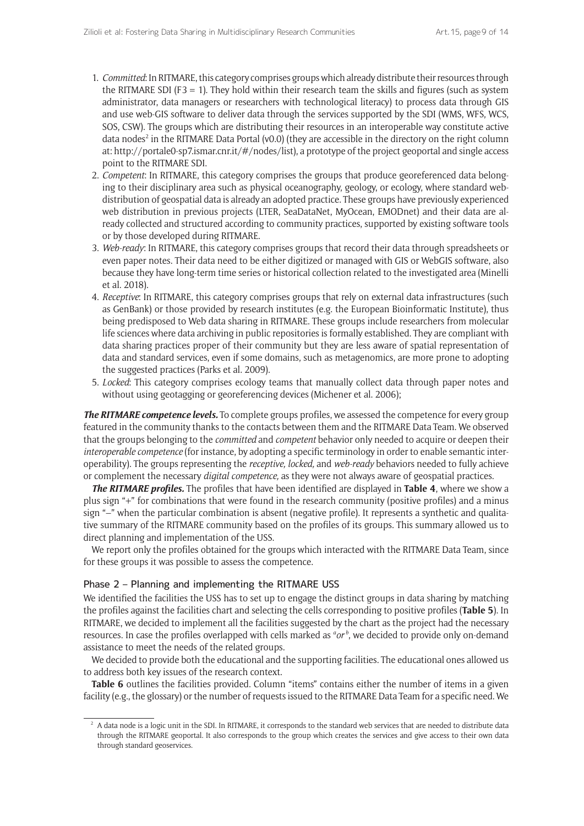- 1. *Committed*: In RITMARE, this category comprises groups which already distribute their resources through the RITMARE SDI (F3 = 1). They hold within their research team the skills and figures (such as system administrator, data managers or researchers with technological literacy) to process data through GIS and use web-GIS software to deliver data through the services supported by the SDI ([WMS,](https://www.opengeospatial.org/standards/wms) [WFS](https://www.opengeospatial.org/standards/wfs), [WCS,](https://www.opengeospatial.org/standards/wfs) [SOS](https://www.opengeospatial.org/standards/sos), [CSW](https://www.opengeospatial.org/standards/cat)). The groups which are distributing their resources in an interoperable way constitute active data nodes<sup>2</sup> in the RITMARE Data Portal (v0.0) (they are accessible in the directory on the right column at:<http://portale0-sp7.ismar.cnr.it/#/nodes/list>), a prototype of the project geoportal and single access point to the RITMARE SDI.
- 2. *Competent*: In RITMARE, this category comprises the groups that produce georeferenced data belonging to their disciplinary area such as physical oceanography, geology, or ecology, where standard webdistribution of geospatial data is already an adopted practice. These groups have previously experienced web distribution in previous projects ([LTER,](http://www.lter-europe.net/lter-europe/data) [SeaDataNet,](https://www.seadatanet.org/) [MyOcean,](http://marine.copernicus.eu/) [EMODnet\)](http://www.emodnet.eu/) and their data are already collected and structured according to community practices, supported by existing software tools or by those developed during RITMARE.
- 3. *Web-ready*: In RITMARE, this category comprises groups that record their data through spreadsheets or even paper notes. Their data need to be either digitized or managed with GIS or WebGIS software, also because they have long-term time series or historical collection related to the investigated area (Minelli et al. 2018).
- 4. *Receptive*: In RITMARE, this category comprises groups that rely on external data infrastructures ([such](https://www.ncbi.nlm.nih.gov/genbank/)  [as GenBank](https://www.ncbi.nlm.nih.gov/genbank/)) or those provided by research institutes (e.g. the [European Bioinformatic Institute](https://www.ebi.ac.uk/)), thus being predisposed to Web data sharing in RITMARE. These groups include researchers from molecular life sciences where data archiving in public repositories is formally established. They are compliant with data sharing practices proper of their community but they are less aware of spatial representation of data and standard services, even if some domains, such as metagenomics, are more prone to adopting the suggested practices (Parks et al. 2009).
- 5. *Locked*: This category comprises ecology teams that manually collect data through paper notes and without using geotagging or georeferencing devices (Michener et al. 2006);

*The RITMARE competence levels.* To complete groups profiles, we assessed the competence for every group featured in the community thanks to the contacts between them and the RITMARE Data Team. We observed that the groups belonging to the *committed* and *competent* behavior only needed to acquire or deepen their *interoperable competence* (for instance, by adopting a specific terminology in order to enable semantic interoperability). The groups representing the *receptive, locked,* and *web-ready* behaviors needed to fully achieve or complement the necessary *digital competence,* as they were not always aware of geospatial practices.

*The RITMARE profiles.* The profiles that have been identified are displayed in **Table 4**, where we show a plus sign "+" for combinations that were found in the research community (positive profiles) and a minus sign "–" when the particular combination is absent (negative profile). It represents a synthetic and qualitative summary of the RITMARE community based on the profiles of its groups. This summary allowed us to direct planning and implementation of the USS.

We report only the profiles obtained for the groups which interacted with the RITMARE Data Team, since for these groups it was possible to assess the competence.

## Phase 2 – Planning and implementing the RITMARE USS

We identified the facilities the USS has to set up to engage the distinct groups in data sharing by matching the profiles against the facilities chart and selecting the cells corresponding to positive profiles (**Table 5**). In RITMARE, we decided to implement all the facilities suggested by the chart as the project had the necessary resources. In case the profiles overlapped with cells marked as *<sup>a</sup>or*<sup>b</sup>, we decided to provide only on-demand assistance to meet the needs of the related groups.

We decided to provide both the educational and the supporting facilities. The educational ones allowed us to address both key issues of the research context.

Table 6 outlines the facilities provided. Column "items" contains either the number of items in a given facility (e.g., the glossary) or the number of requests issued to the RITMARE Data Team for a specific need. We

<sup>&</sup>lt;sup>2</sup> A data node is a logic unit in the SDI. In RITMARE, it corresponds to the standard web services that are needed to distribute data through the RITMARE geoportal. It also corresponds to the group which creates the services and give access to their own data through standard geoservices.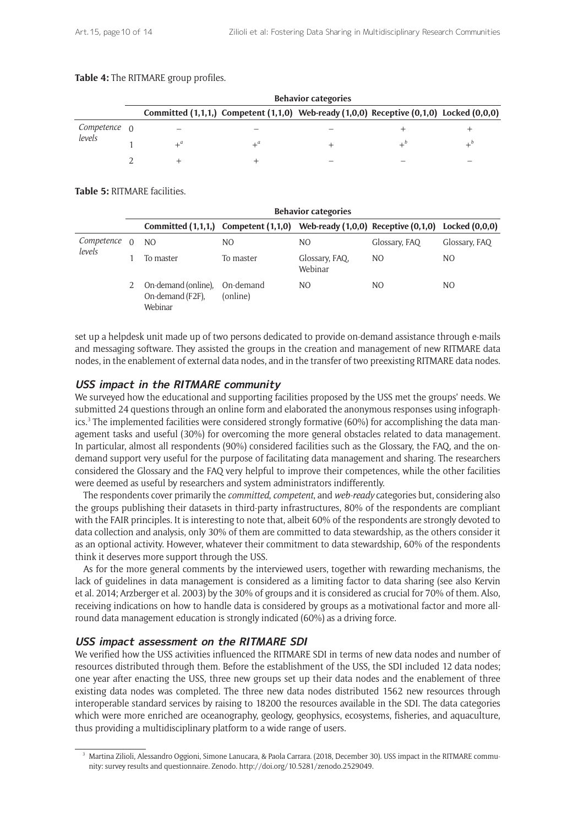#### **Table 4:** The RITMARE group profiles.

|              | <b>Behavior categories</b>                                                                         |  |  |  |           |  |
|--------------|----------------------------------------------------------------------------------------------------|--|--|--|-----------|--|
|              | Committed $(1,1,1)$ , Competent $(1,1,0)$ Web-ready $(1,0,0)$ Receptive $(0,1,0)$ Locked $(0,0,0)$ |  |  |  |           |  |
| Competence 0 |                                                                                                    |  |  |  |           |  |
| levels       |                                                                                                    |  |  |  | $\perp^b$ |  |
|              |                                                                                                    |  |  |  |           |  |

**Table 5:** RITMARE facilities.

|            | <b>Behavior categories</b>                         |                                                                                         |                           |               |               |
|------------|----------------------------------------------------|-----------------------------------------------------------------------------------------|---------------------------|---------------|---------------|
|            |                                                    | Committed (1,1,1,) Competent (1,1,0) Web-ready (1,0,0) Receptive (0,1,0) Locked (0,0,0) |                           |               |               |
| Competence | NO.                                                | NO.                                                                                     | NO.                       | Glossary, FAQ | Glossary, FAQ |
| levels     | To master                                          | To master                                                                               | Glossary, FAQ,<br>Webinar | NO.           | NO.           |
|            | On-demand (online),<br>On-demand (F2F).<br>Webinar | On-demand<br>(online)                                                                   | NO.                       | <sub>NO</sub> | NO.           |

set up a helpdesk unit made up of two persons dedicated to provide on-demand assistance through e-mails and messaging software. They assisted the groups in the creation and management of new RITMARE data nodes, in the enablement of external data nodes, and in the transfer of two preexisting RITMARE data nodes.

## **USS impact in the RITMARE community**

We surveyed how the educational and supporting facilities proposed by the USS met the groups' needs. We submitted 24 questions through an online form and elaborated the anonymous responses using infographics.<sup>3</sup> The implemented facilities were considered strongly formative (60%) for accomplishing the data management tasks and useful (30%) for overcoming the more general obstacles related to data management. In particular, almost all respondents (90%) considered facilities such as the Glossary, the FAQ, and the ondemand support very useful for the purpose of facilitating data management and sharing. The researchers considered the Glossary and the FAQ very helpful to improve their competences, while the other facilities were deemed as useful by researchers and system administrators indifferently.

The respondents cover primarily the *committed*, *competent*, and *web-ready* categories but, considering also the groups publishing their datasets in third-party infrastructures, 80% of the respondents are compliant with the [FAIR principles.](https://www.force11.org/group/fairgroup/fairprinciples) It is interesting to note that, albeit 60% of the respondents are strongly devoted to data collection and analysis, only 30% of them are committed to data stewardship, as the others consider it as an optional activity. However, whatever their commitment to data stewardship, 60% of the respondents think it deserves more support through the USS.

As for the more general comments by the interviewed users, together with rewarding mechanisms, the lack of guidelines in data management is considered as a limiting factor to data sharing (see also Kervin et al. 2014; Arzberger et al. 2003) by the 30% of groups and it is considered as crucial for 70% of them. Also, receiving indications on how to handle data is considered by groups as a motivational factor and more allround data management education is strongly indicated (60%) as a driving force.

## **USS impact assessment on the RITMARE SDI**

We verified how the USS activities influenced the RITMARE SDI in terms of new data nodes and number of resources distributed through them. Before the establishment of the USS, the SDI included 12 data nodes; one year after enacting the USS, three new groups set up their data nodes and the enablement of three existing data nodes was completed. The three new data nodes distributed 1562 new resources through interoperable standard services by raising to 18200 the resources available in the SDI. The data categories which were more enriched are oceanography, geology, geophysics, ecosystems, fisheries, and aquaculture, thus providing a multidisciplinary platform to a wide range of users.

<sup>3</sup> Martina Zilioli, Alessandro Oggioni, Simone Lanucara, & Paola Carrara. (2018, December 30). USS impact in the RITMARE community: survey results and questionnaire. Zenodo.<http://doi.org/10.5281/zenodo.2529049>.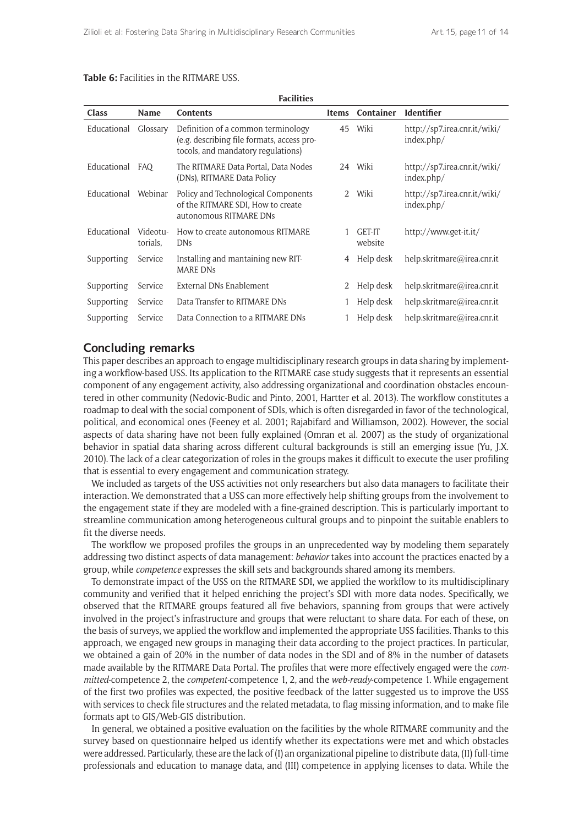| <b>Class</b> | <b>Name</b>          | <b>Facilities</b><br><b>Contents</b>                                                                                   | <b>Items</b>  | Container                | <b>Identifier</b>                          |
|--------------|----------------------|------------------------------------------------------------------------------------------------------------------------|---------------|--------------------------|--------------------------------------------|
|              |                      |                                                                                                                        |               |                          |                                            |
| Educational  | Glossary             | Definition of a common terminology<br>(e.g. describing file formats, access pro-<br>tocols, and mandatory regulations) | 45            | Wiki                     | http://sp7.irea.cnr.it/wiki/<br>index.php/ |
| Educational  | <b>FAO</b>           | The RITMARE Data Portal, Data Nodes<br>(DNs), RITMARE Data Policy                                                      | 24            | Wiki                     | http://sp7.irea.cnr.it/wiki/<br>index.php/ |
| Educational  | Webinar              | Policy and Technological Components<br>of the RITMARE SDI, How to create<br>autonomous RITMARE DNs                     | $\mathcal{L}$ | Wiki                     | http://sp7.irea.cnr.it/wiki/<br>index.php/ |
| Educational  | Videotu-<br>torials, | How to create autonomous RITMARE<br><b>DNs</b>                                                                         |               | <b>GET-IT</b><br>website | http://www.get-it.it/                      |
| Supporting   | Service              | Installing and mantaining new RIT-<br><b>MARE DNs</b>                                                                  | 4             | Help desk                | help.skritmare@irea.cnr.it                 |
| Supporting   | Service              | External DNs Enablement                                                                                                | 2             | Help desk                | help.skritmare@irea.cnr.it                 |
| Supporting   | Service              | Data Transfer to RITMARE DNs                                                                                           |               | Help desk                | help.skritmare@irea.cnr.it                 |
| Supporting   | Service              | Data Connection to a RITMARE DNs                                                                                       |               | Help desk                | help.skritmare@irea.cnr.it                 |

**Facilities**

#### **Table 6:** Facilities in the RITMARE USS.

# **Concluding remarks**

This paper describes an approach to engage multidisciplinary research groups in data sharing by implementing a workflow-based USS. Its application to the RITMARE case study suggests that it represents an essential component of any engagement activity, also addressing organizational and coordination obstacles encountered in other community (Nedovic-Budic and Pinto, 2001, Hartter et al. 2013). The workflow constitutes a roadmap to deal with the social component of SDIs, which is often disregarded in favor of the technological, political, and economical ones (Feeney et al. 2001; Rajabifard and Williamson, 2002). However, the social aspects of data sharing have not been fully explained (Omran et al. 2007) as the study of organizational behavior in spatial data sharing across different cultural backgrounds is still an emerging issue (Yu, J.X. 2010). The lack of a clear categorization of roles in the groups makes it difficult to execute the user profiling that is essential to every engagement and communication strategy.

We included as targets of the USS activities not only researchers but also data managers to facilitate their interaction. We demonstrated that a USS can more effectively help shifting groups from the involvement to the engagement state if they are modeled with a fine-grained description. This is particularly important to streamline communication among heterogeneous cultural groups and to pinpoint the suitable enablers to fit the diverse needs.

The workflow we proposed profiles the groups in an unprecedented way by modeling them separately addressing two distinct aspects of data management: *behavior* takes into account the practices enacted by a group, while *competence* expresses the skill sets and backgrounds shared among its members.

To demonstrate impact of the USS on the RITMARE SDI, we applied the workflow to its multidisciplinary community and verified that it helped enriching the project's SDI with more data nodes. Specifically, we observed that the RITMARE groups featured all five behaviors, spanning from groups that were actively involved in the project's infrastructure and groups that were reluctant to share data. For each of these, on the basis of surveys, we applied the workflow and implemented the appropriate USS facilities. Thanks to this approach, we engaged new groups in managing their data according to the project practices. In particular, we obtained a gain of 20% in the number of data nodes in the SDI and of 8% in the number of datasets made available by the RITMARE Data Portal. The profiles that were more effectively engaged were the *committed*-competence 2, the *competent-*competence 1, 2, and the *web-ready*-competence 1. While engagement of the first two profiles was expected, the positive feedback of the latter suggested us to improve the USS with services to check file structures and the related metadata, to flag missing information, and to make file formats apt to GIS/Web-GIS distribution.

In general, we obtained a positive evaluation on the facilities by the whole RITMARE community and the survey based on questionnaire helped us identify whether its expectations were met and which obstacles were addressed. Particularly, these are the lack of (I) an organizational pipeline to distribute data, (II) full-time professionals and education to manage data, and (III) competence in applying licenses to data. While the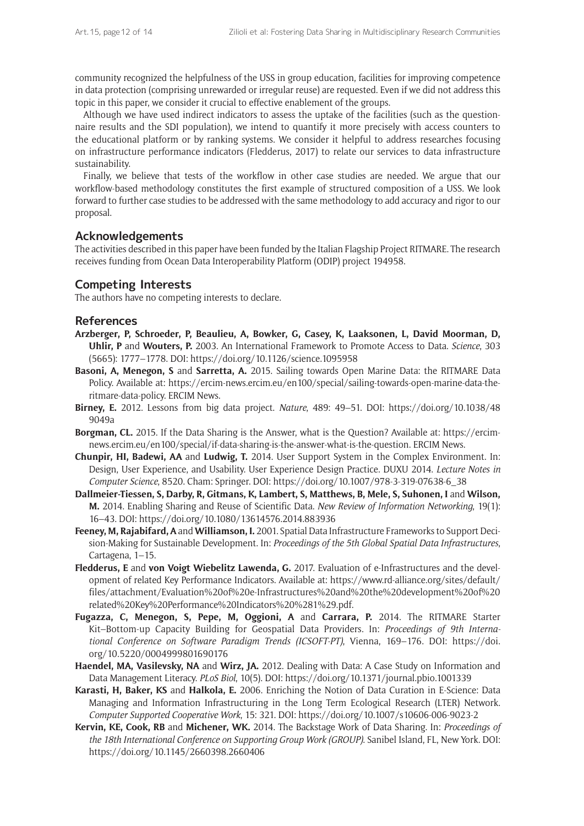community recognized the helpfulness of the USS in group education, facilities for improving competence in data protection (comprising unrewarded or irregular reuse) are requested. Even if we did not address this topic in this paper, we consider it crucial to effective enablement of the groups.

Although we have used indirect indicators to assess the uptake of the facilities (such as the questionnaire results and the SDI population), we intend to quantify it more precisely with access counters to the educational platform or by ranking systems. We consider it helpful to address researches focusing on infrastructure performance indicators (Fledderus, 2017) to relate our services to data infrastructure sustainability.

Finally, we believe that tests of the workflow in other case studies are needed. We argue that our workflow-based methodology constitutes the first example of structured composition of a USS. We look forward to further case studies to be addressed with the same methodology to add accuracy and rigor to our proposal.

## **Acknowledgements**

The activities described in this paper have been funded by the Italian Flagship Project RITMARE. The research receives funding from Ocean Data Interoperability Platform (ODIP) project 194958.

#### **Competing Interests**

The authors have no competing interests to declare.

#### **References**

- **Arzberger, P, Schroeder, P, Beaulieu, A, Bowker, G, Casey, K, Laaksonen, L, David Moorman, D, Uhlir, P** and **Wouters, P.** 2003. An International Framework to Promote Access to Data. *Science*, 303 (5665): 1777–1778. DOI:<https://doi.org/10.1126/science.1095958>
- **Basoni, A, Menegon, S** and **Sarretta, A.** 2015. Sailing towards Open Marine Data: the RITMARE Data Policy. Available at: [https://ercim-news.ercim.eu/en100/special/sailing-towards-open-marine-data-the](https://ercim-news.ercim.eu/en100/special/sailing-towards-open-marine-data-the-ritmare-data-policy)[ritmare-data-policy](https://ercim-news.ercim.eu/en100/special/sailing-towards-open-marine-data-the-ritmare-data-policy). ERCIM News.
- **Birney, E.** 2012. Lessons from big data project. *Nature*, 489: 49–51. DOI: [https://doi.org/10.1038/48](https://doi.org/10.1038/489049a ) [9049a](https://doi.org/10.1038/489049a )
- **Borgman, CL.** 2015. If the Data Sharing is the Answer, what is the Question? Available at: [https://ercim](https://ercim-news.ercim.eu/en100/special/if-data-sharing-is-the-answer-what-is-the-question)[news.ercim.eu/en100/special/if-data-sharing-is-the-answer-what-is-the-question.](https://ercim-news.ercim.eu/en100/special/if-data-sharing-is-the-answer-what-is-the-question) ERCIM News.
- **Chunpir, HI, Badewi, AA** and **Ludwig, T.** 2014. User Support System in the Complex Environment. In: Design, User Experience, and Usability. User Experience Design Practice. DUXU 2014. *Lecture Notes in Computer Science*, 8520. Cham: Springer. DOI: [https://doi.org/10.1007/978-3-319-07638-6\\_38](https://doi.org/10.1007/978-3-319-07638-6_38)
- **Dallmeier-Tiessen, S, Darby, R, Gitmans, K, Lambert, S, Matthews, B, Mele, S, Suhonen, I** and **Wilson, M.** 2014. Enabling Sharing and Reuse of Scientific Data. *New Review of Information Networking*, 19(1): 16–43. DOI: <https://doi.org/10.1080/13614576.2014.883936>
- **Feeney, M, Rajabifard, A** and **Williamson, I.** 2001. Spatial Data Infrastructure Frameworks to Support Decision-Making for Sustainable Development. In: *Proceedings of the 5th Global Spatial Data Infrastructures*, Cartagena, 1–15.
- **Fledderus, E** and **von Voigt Wiebelitz Lawenda, G.** 2017. Evaluation of e-Infrastructures and the development of related Key Performance Indicators. Available at: [https://www.rd-alliance.org/sites/default/](https://www.rd-alliance.org/sites/default/files/attachment/Evaluation%20of%20e-Infrastructures%20and%20the%20development%20of%20related%20Key%20Performance%20Indicators%20%281%29.pdf) [files/attachment/Evaluation%20of%20e-Infrastructures%20and%20the%20development%20of%20](https://www.rd-alliance.org/sites/default/files/attachment/Evaluation%20of%20e-Infrastructures%20and%20the%20development%20of%20related%20Key%20Performance%20Indicators%20%281%29.pdf) [related%20Key%20Performance%20Indicators%20%281%29.pdf.](https://www.rd-alliance.org/sites/default/files/attachment/Evaluation%20of%20e-Infrastructures%20and%20the%20development%20of%20related%20Key%20Performance%20Indicators%20%281%29.pdf)
- **Fugazza, C, Menegon, S, Pepe, M, Oggioni, A** and **Carrara, P.** 2014. The RITMARE Starter Kit–Bottom-up Capacity Building for Geospatial Data Providers. In: *Proceedings of 9th International Conference on Software Paradigm Trends (ICSOFT-PT)*, Vienna, 169–176. DOI: [https://doi.](https://doi.org/10.5220/0004999801690176) [org/10.5220/0004999801690176](https://doi.org/10.5220/0004999801690176)
- **Haendel, MA, Vasilevsky, NA** and **Wirz, JA.** 2012. Dealing with Data: A Case Study on Information and Data Management Literacy. *PLoS Biol*, 10(5). DOI: <https://doi.org/10.1371/journal.pbio.1001339>
- **Karasti, H, Baker, KS** and **Halkola, E.** 2006. Enriching the Notion of Data Curation in E-Science: Data Managing and Information Infrastructuring in the Long Term Ecological Research (LTER) Network. *Computer Supported Cooperative Work*, 15: 321. DOI:<https://doi.org/10.1007/s10606-006-9023-2>
- **Kervin, KE, Cook, RB** and **Michener, WK.** 2014. The Backstage Work of Data Sharing. In: *Proceedings of the 18th International Conference on Supporting Group Work (GROUP)*. Sanibel Island, FL, New York. DOI: <https://doi.org/10.1145/2660398.2660406>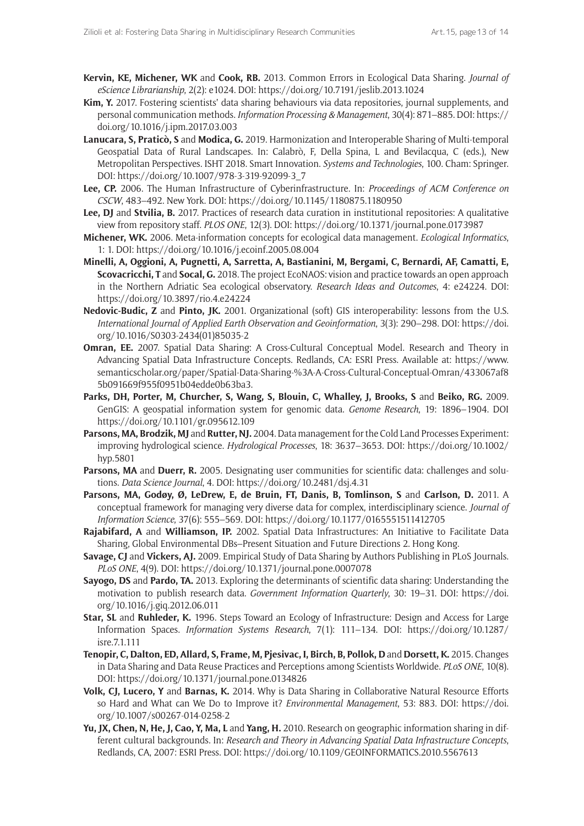- **Kervin, KE, Michener, WK** and **Cook, RB.** 2013. Common Errors in Ecological Data Sharing. *Journal of eScience Librarianship*, 2(2): e1024. DOI:<https://doi.org/10.7191/jeslib.2013.1024>
- **Kim, Y.** 2017. Fostering scientists' data sharing behaviours via data repositories, journal supplements, and personal communication methods. *Information Processing & Management*, 30(4): 871–885. DOI: [https://](https://doi.org/10.1016/j.ipm.2017.03.003) [doi.org/10.1016/j.ipm.2017.03.003](https://doi.org/10.1016/j.ipm.2017.03.003)
- **Lanucara, S, Praticò, S** and **Modica, G.** 2019. Harmonization and Interoperable Sharing of Multi-temporal Geospatial Data of Rural Landscapes. In: Calabrò, F, Della Spina, L and Bevilacqua, C (eds.), New Metropolitan Perspectives. ISHT 2018. Smart Innovation. *Systems and Technologies*, 100. Cham: Springer. DOI: [https://doi.org/10.1007/978-3-319-92099-3\\_7](https://doi.org/10.1007/978-3-319-92099-3_7)
- **Lee, CP.** 2006. The Human Infrastructure of Cyberinfrastructure. In: *Proceedings of ACM Conference on CSCW*, 483–492. New York. DOI:<https://doi.org/10.1145/1180875.1180950>
- **Lee, DJ** and **Stvilia, B.** 2017. Practices of research data curation in institutional repositories: A qualitative view from repository staff. *PLOS ONE*, 12(3). DOI:<https://doi.org/10.1371/journal.pone.0173987>
- **Michener, WK.** 2006. Meta-information concepts for ecological data management. *Ecological Informatics*, 1: 1. DOI: <https://doi.org/10.1016/j.ecoinf.2005.08.004>
- **Minelli, A, Oggioni, A, Pugnetti, A, Sarretta, A, Bastianini, M, Bergami, C, Bernardi, AF, Camatti, E, Scovacricchi, T** and **Socal, G.** 2018. The project EcoNAOS: vision and practice towards an open approach in the Northern Adriatic Sea ecological observatory. *Research Ideas and Outcomes*, 4: e24224. DOI: <https://doi.org/10.3897/rio.4.e24224>
- **Nedovic-Budic, Z** and **Pinto, JK.** 2001. Organizational (soft) GIS interoperability: lessons from the U.S. *International Journal of Applied Earth Observation and Geoinformation*, 3(3): 290–298. DOI: [https://doi.](https://doi.org/10.1016/S0303-2434(01)85035-2) [org/10.1016/S0303-2434\(01\)85035-2](https://doi.org/10.1016/S0303-2434(01)85035-2)
- **Omran, EE.** 2007. Spatial Data Sharing: A Cross-Cultural Conceptual Model. Research and Theory in Advancing Spatial Data Infrastructure Concepts. Redlands, CA: ESRI Press. Available at: [https://www.](https://www.semanticscholar.org/paper/Spatial-Data-Sharing-%3A-A-Cross-Cultural-Conceptual-Omran/433067af85b091669f955f0951b04edde0b63ba3) [semanticscholar.org/paper/Spatial-Data-Sharing-%3A-A-Cross-Cultural-Conceptual-Omran/433067af8](https://www.semanticscholar.org/paper/Spatial-Data-Sharing-%3A-A-Cross-Cultural-Conceptual-Omran/433067af85b091669f955f0951b04edde0b63ba3) [5b091669f955f0951b04edde0b63ba3.](https://www.semanticscholar.org/paper/Spatial-Data-Sharing-%3A-A-Cross-Cultural-Conceptual-Omran/433067af85b091669f955f0951b04edde0b63ba3)
- Parks, DH, Porter, M, Churcher, S, Wang, S, Blouin, C, Whalley, J, Brooks, S and Beiko, RG. 2009. GenGIS: A geospatial information system for genomic data. *Genome Research*, 19: 1896–1904. DOI <https://doi.org/10.1101/gr.095612.109>
- **Parsons, MA, Brodzik, MJ** and **Rutter, NJ.** 2004. Data management for the Cold Land Processes Experiment: improving hydrological science. *Hydrological Processes*, 18: 3637–3653. DOI: [https://doi.org/10.1002/](https://doi.org/10.1002/hyp.5801) [hyp.5801](https://doi.org/10.1002/hyp.5801)
- **Parsons, MA** and **Duerr, R.** 2005. Designating user communities for scientific data: challenges and solutions. *Data Science Journal*, 4. DOI:<https://doi.org/10.2481/dsj.4.31>
- **Parsons, MA, Godøy, Ø, LeDrew, E, de Bruin, FT, Danis, B, Tomlinson, S** and **Carlson, D.** 2011. A conceptual framework for managing very diverse data for complex, interdisciplinary science. *Journal of Information Science*, 37(6): 555–569. DOI:<https://doi.org/10.1177/0165551511412705>
- **Rajabifard, A** and **Williamson, IP.** 2002. Spatial Data Infrastructures: An Initiative to Facilitate Data Sharing, Global Environmental DBs–Present Situation and Future Directions 2. Hong Kong.
- **Savage, CJ** and **Vickers, AJ.** 2009. Empirical Study of Data Sharing by Authors Publishing in PLoS Journals. *PLoS ONE*, 4(9). DOI: <https://doi.org/10.1371/journal.pone.0007078>
- **Sayogo, DS** and **Pardo, TA.** 2013. Exploring the determinants of scientific data sharing: Understanding the motivation to publish research data. *Government Information Quarterly*, 30: 19–31. DOI: [https://doi.](https://doi.org/10.1016/j.giq.2012.06.011) [org/10.1016/j.giq.2012.06.011](https://doi.org/10.1016/j.giq.2012.06.011)
- **Star, SL** and **Ruhleder, K.** 1996. Steps Toward an Ecology of Infrastructure: Design and Access for Large Information Spaces. *Information Systems Research*, 7(1): 111–134. DOI: [https://doi.org/10.1287/](https://doi.org/10.1287/isre.7.1.111) [isre.7.1.111](https://doi.org/10.1287/isre.7.1.111)
- **Tenopir, C, Dalton, ED, Allard, S, Frame, M, Pjesivac, I, Birch, B, Pollok, D** and **Dorsett, K.** 2015. Changes in Data Sharing and Data Reuse Practices and Perceptions among Scientists Worldwide. *PLoS ONE*, 10(8). DOI: <https://doi.org/10.1371/journal.pone.0134826>
- **Volk, CJ, Lucero, Y** and **Barnas, K.** 2014. Why is Data Sharing in Collaborative Natural Resource Efforts so Hard and What can We Do to Improve it? *Environmental Management*, 53: 883. DOI: [https://doi.](https://doi.org/10.1007/s00267-014-0258-2) [org/10.1007/s00267-014-0258-2](https://doi.org/10.1007/s00267-014-0258-2)
- **Yu, JX, Chen, N, He, J, Cao, Y, Ma, L** and **Yang, H.** 2010. Research on geographic information sharing in different cultural backgrounds. In: *Research and Theory in Advancing Spatial Data Infrastructure Concepts*, Redlands, CA, 2007: ESRI Press. DOI:<https://doi.org/10.1109/GEOINFORMATICS.2010.5567613>